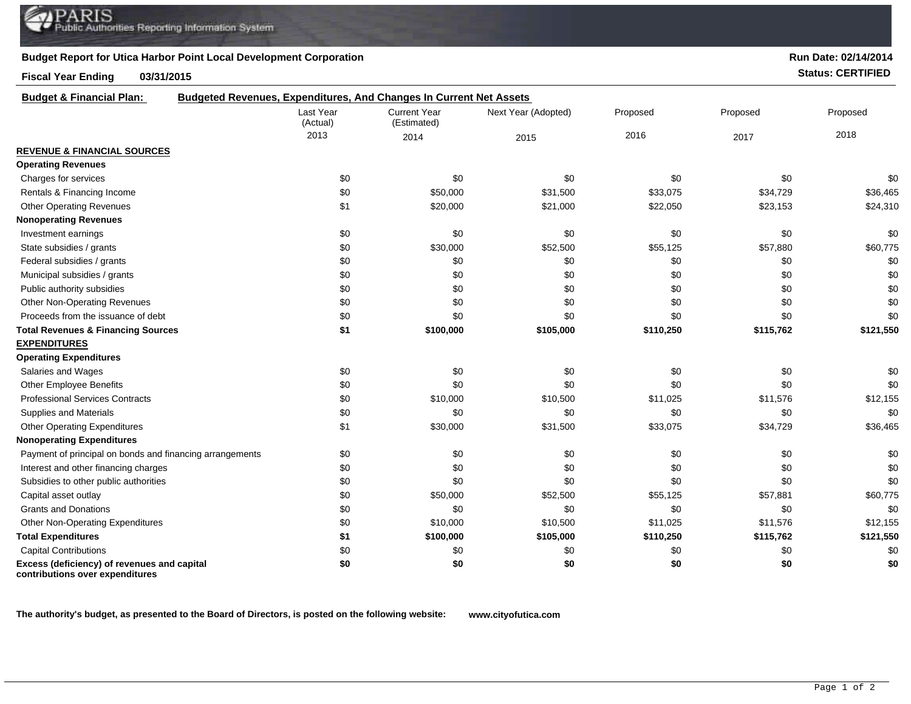## **Budget Report for Utica Harbor Point Local Development Corporation**

## **Fiscal Year Ending 03/31/2015 Status: CERTIFIED**

| <b>Budget &amp; Financial Plan:</b>                                            | Budgeted Revenues, Expenditures, And Changes In Current Net Assets |                                    |                     |           |           |           |
|--------------------------------------------------------------------------------|--------------------------------------------------------------------|------------------------------------|---------------------|-----------|-----------|-----------|
|                                                                                | Last Year<br>(Actual)                                              | <b>Current Year</b><br>(Estimated) | Next Year (Adopted) | Proposed  | Proposed  | Proposed  |
|                                                                                | 2013                                                               | 2014                               | 2015                | 2016      | 2017      | 2018      |
| <b>REVENUE &amp; FINANCIAL SOURCES</b>                                         |                                                                    |                                    |                     |           |           |           |
| <b>Operating Revenues</b>                                                      |                                                                    |                                    |                     |           |           |           |
| Charges for services                                                           | \$0                                                                | \$0                                | \$0                 | \$0       | \$0       | \$0       |
| Rentals & Financing Income                                                     | \$0                                                                | \$50,000                           | \$31,500            | \$33,075  | \$34,729  | \$36,465  |
| <b>Other Operating Revenues</b>                                                | \$1                                                                | \$20,000                           | \$21,000            | \$22,050  | \$23,153  | \$24,310  |
| <b>Nonoperating Revenues</b>                                                   |                                                                    |                                    |                     |           |           |           |
| Investment earnings                                                            | \$0                                                                | \$0                                | \$0                 | \$0       | \$0       | \$0       |
| State subsidies / grants                                                       | \$0                                                                | \$30,000                           | \$52,500            | \$55,125  | \$57,880  | \$60,775  |
| Federal subsidies / grants                                                     | \$0                                                                | \$0                                | \$0                 | \$0       | \$0       | \$0       |
| Municipal subsidies / grants                                                   | \$0                                                                | \$0                                | \$0                 | \$0       | \$0       | \$0       |
| Public authority subsidies                                                     | \$0                                                                | \$0                                | \$0                 | \$0       | \$0       | \$0       |
| Other Non-Operating Revenues                                                   | \$0                                                                | \$0                                | \$0                 | \$0       | \$0       | \$0       |
| Proceeds from the issuance of debt                                             | \$0                                                                | \$0                                | \$0                 | \$0       | \$0       | \$0       |
| <b>Total Revenues &amp; Financing Sources</b>                                  | \$1                                                                | \$100,000                          | \$105,000           | \$110,250 | \$115,762 | \$121,550 |
| <b>EXPENDITURES</b>                                                            |                                                                    |                                    |                     |           |           |           |
| <b>Operating Expenditures</b>                                                  |                                                                    |                                    |                     |           |           |           |
| Salaries and Wages                                                             | \$0                                                                | \$0                                | \$0                 | \$0       | \$0       | \$0       |
| <b>Other Employee Benefits</b>                                                 | \$0                                                                | \$0                                | \$0                 | \$0       | \$0       | \$0       |
| <b>Professional Services Contracts</b>                                         | \$0                                                                | \$10,000                           | \$10,500            | \$11,025  | \$11,576  | \$12,155  |
| Supplies and Materials                                                         | \$0                                                                | \$0                                | \$0                 | \$0       | \$0       | \$0       |
| <b>Other Operating Expenditures</b>                                            | \$1                                                                | \$30,000                           | \$31,500            | \$33,075  | \$34,729  | \$36,465  |
| <b>Nonoperating Expenditures</b>                                               |                                                                    |                                    |                     |           |           |           |
| Payment of principal on bonds and financing arrangements                       | \$0                                                                | \$0                                | \$0                 | \$0       | \$0       | \$0       |
| Interest and other financing charges                                           | \$0                                                                | \$0                                | \$0                 | \$0       | \$0       | \$0       |
| Subsidies to other public authorities                                          | \$0                                                                | \$0                                | \$0                 | \$0       | \$0       | \$0       |
| Capital asset outlay                                                           | \$0                                                                | \$50,000                           | \$52,500            | \$55,125  | \$57,881  | \$60,775  |
| <b>Grants and Donations</b>                                                    | \$0                                                                | \$0                                | \$0                 | \$0       | \$0       | \$0       |
| Other Non-Operating Expenditures                                               | \$0                                                                | \$10,000                           | \$10,500            | \$11,025  | \$11,576  | \$12,155  |
| <b>Total Expenditures</b>                                                      | \$1                                                                | \$100,000                          | \$105,000           | \$110,250 | \$115,762 | \$121,550 |
| <b>Capital Contributions</b>                                                   | \$0                                                                | \$0                                | \$0                 | \$0       | \$0       | \$0       |
| Excess (deficiency) of revenues and capital<br>contributions over expenditures | \$0                                                                | \$0                                | \$0                 | \$0       | \$0       | \$0       |

**The authority's budget, as presented to the Board of Directors, is posted on the following website: www.cityofutica.com**